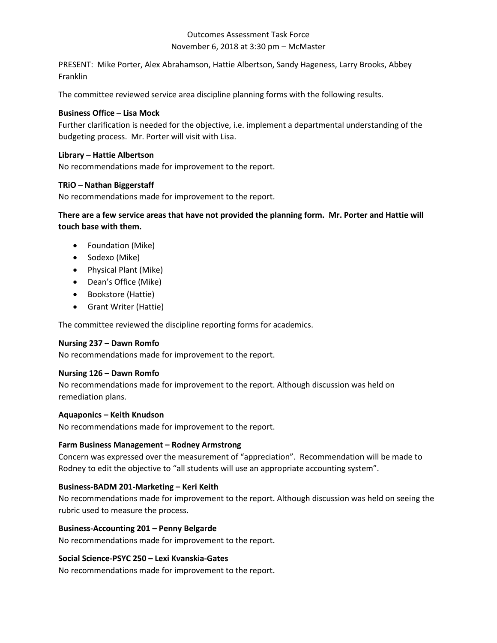# November 6, 2018 at 3:30 pm – McMaster Outcomes Assessment Task Force

PRESENT: Mike Porter, Alex Abrahamson, Hattie Albertson, Sandy Hageness, Larry Brooks, Abbey Franklin

The committee reviewed service area discipline planning forms with the following results.

### **Business Office – Lisa Mock**

 budgeting process. Mr. Porter will visit with Lisa. Further clarification is needed for the objective, i.e. implement a departmental understanding of the

#### **Library – Hattie Albertson**

No recommendations made for improvement to the report.

## **TRiO – Nathan Biggerstaff**

No recommendations made for improvement to the report.

 **There are a few service areas that have not provided the planning form. Mr. Porter and Hattie will touch base with them.** 

- Foundation (Mike)
- Sodexo (Mike)
- Physical Plant (Mike)
- Dean's Office (Mike)
- Bookstore (Hattie)
- Grant Writer (Hattie)

The committee reviewed the discipline reporting forms for academics.

## **Nursing 237 – Dawn Romfo**

No recommendations made for improvement to the report.

#### **Nursing 126 – Dawn Romfo**

 No recommendations made for improvement to the report. Although discussion was held on remediation plans.

#### **Aquaponics – Keith Knudson**

No recommendations made for improvement to the report.

#### **Farm Business Management – Rodney Armstrong**

 Concern was expressed over the measurement of "appreciation". Recommendation will be made to Rodney to edit the objective to "all students will use an appropriate accounting system".

#### **Business-BADM 201-Marketing – Keri Keith**

 No recommendations made for improvement to the report. Although discussion was held on seeing the rubric used to measure the process.

#### **Business-Accounting 201 – Penny Belgarde**

No recommendations made for improvement to the report.

#### **Social Science-PSYC 250 – Lexi Kvanskia-Gates**

No recommendations made for improvement to the report.